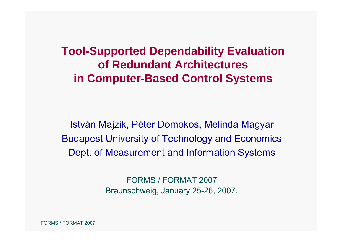# **Tool-Supported Dependability Evaluation of Redundant Architectures in Computer-Based Control Systems**

István Majzik, Péter Domokos, Melinda Magyar Budapest University of Technology and Economics Dept. of Measurement and Information Systems

> FORMS / FORMAT 2007 Braunschweig, January 25-26, 2007.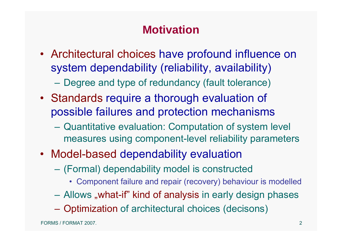# **Motivation**

• Architectural choices have profound influence on system dependability (reliability, availability)

Degree and type of redundancy (fault tolerance)

- Standards require a thorough evaluation of possible failures and protection mechanisms
	- $\mathcal{L}_{\mathcal{A}}$  , and the set of the set of the set of the set of the set of the set of the set of the set of the set of the set of the set of the set of the set of the set of the set of the set of the set of the set of th Quantitative evaluation: Computation of system level measures using component-level reliability parameters
- Model-based dependability evaluation
	- (Formal) dependability model is constructed
		- Component failure and repair (recovery) behaviour is modelled
	- Allows "what-if" kind of analysis in early design phases
	- Optimization of architectural choices (decisons)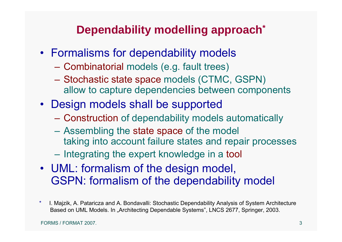# **Dependability modelling approach\***

- Formalisms for dependability models
	- Combinatorial models (e.g. fault trees)
	- $\mathcal{L}_{\mathcal{A}}$  , and the set of the set of the set of the set of the set of the set of the set of the set of the set of the set of the set of the set of the set of the set of the set of the set of the set of the set of th Stochastic state space models (CTMC, GSPN) allow to capture dependencies between components
- Design models shall be supported
	- $\mathcal{L}_{\mathcal{A}}$  , and the set of the set of the set of the set of the set of the set of the set of the set of the set of the set of the set of the set of the set of the set of the set of the set of the set of the set of th Construction of dependability models automatically
	- Assembling the state space of the model taking into account failure states and repair processes
	- $\mathcal{L}_{\mathcal{A}}$  , and the set of the set of the set of the set of the set of the set of the set of the set of the set of the set of the set of the set of the set of the set of the set of the set of the set of the set of th Integrating the expert knowledge in a tool
- UML: formalism of the design model, GSPN: formalism of the dependability model
- \* I. Majzik, A. Pataricza and A. Bondavalli: Stochastic Dependability Analysis of System Architecture Based on UML Models. In "Architecting Dependable Systems", LNCS 2677, Springer, 2003.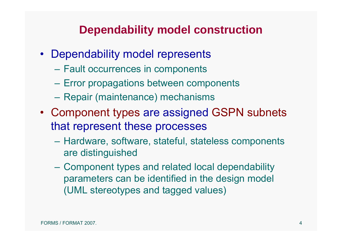#### **Dependability model construction**

- Dependability model represents
	- Fault occurrences in components
	- Error propagations between components
	- Repair (maintenance) mechanisms
- Component types are assigned GSPN subnets that represent these processes
	- Hardware, software, stateful, stateless components are distinguished
	- Component types and related local dependability parameters can be identified in the design model (UML stereotypes and tagged values)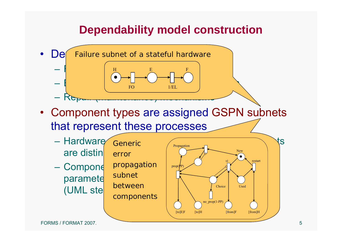## **Dependability model construction**

- • $\textsf{De}$  Failure subnet of a stateful hardware  $\begin{array}{|c|c|c|c|c|c|}\n\hline\n\text{H} & \text{E} & \text{F} & \text{F}\n\end{array}$  $\begin{bmatrix} \mathbb{R} & \mathbb{R} & \mathbb{R} \ & \mathbb{R} & \mathbb{R} \end{bmatrix}$  between components between components  $\begin{bmatrix} \mathbb{R} & \mathbb{R} & \mathbb{R} \ & \mathbb{R} & \mathbb{R} & \mathbb{R} \end{bmatrix}$ Repair (maintenance) mechanisms H E FOF  $1/EL$
- Component types are assigned GSPN subnets that represent these processes
	- are distin Generic error
	- paramete (UML ste $\vert$

propagation subnetbetweencomponents

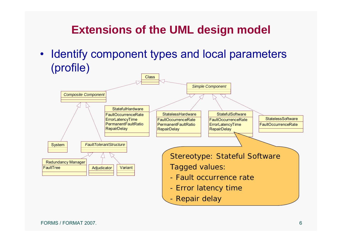# **Extensions of the UML design model**

• Identify component types and local parameters (profile)

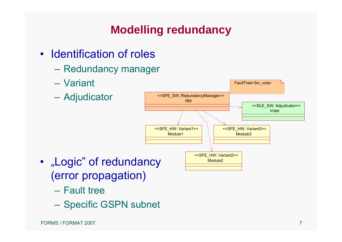# **Modelling redundancy**

- Identification of roles
	- Redundancy manager
	- Variant
	- Adjudicator



- "Logic" of redundancy (error propagation)
	- Fault tree
	- $\mathcal{L}_{\mathcal{A}}$ Specific GSPN subnet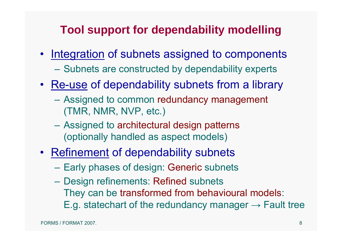## **Tool support for dependability modelling**

- Integration of subnets assigned to components
	- Subnets are constructed by dependability experts
- Re-use of dependability subnets from a library
	- Assigned to common redundancy management (TMR, NMR, NVP, etc.)
	- Assigned to architectural design patterns (optionally handled as aspect models)
- Refinement of dependability subnets
	- –Early phases of design: Generic subnets
	- – Design refinements: Refined subnets They can be transformed from behavioural models: E.g. statechart of the redundancy manager  $\rightarrow$  Fault tree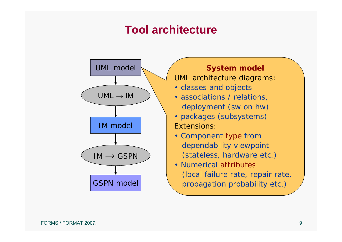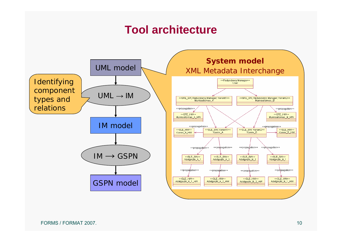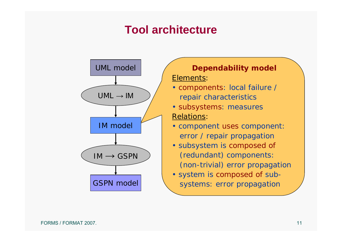

#### **Dependability model** Elements:

- components: local failure / repair characteristics
- subsystems: measures Relations:
- component uses component: error / repair propagation
- subsystem is composed of (redundant) components: (non-trivial) error propagation
- system is composed of subsystems: error propagation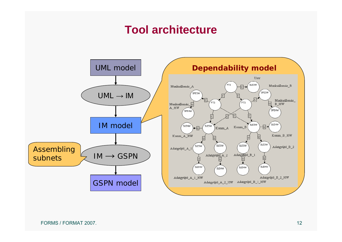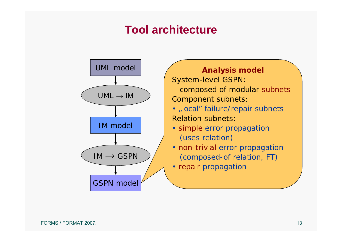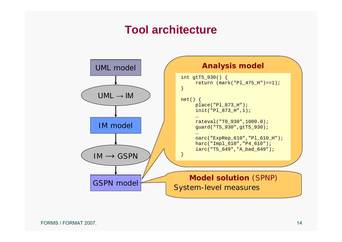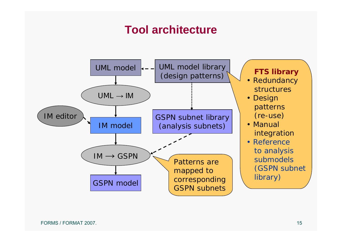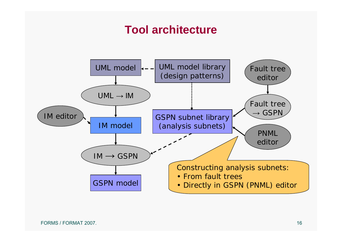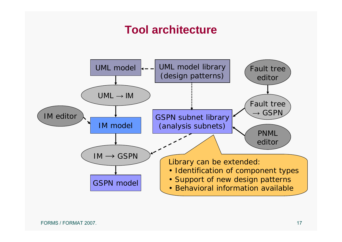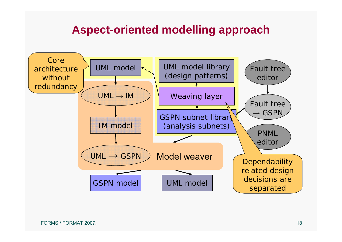#### **Aspect-oriented modelling approach**

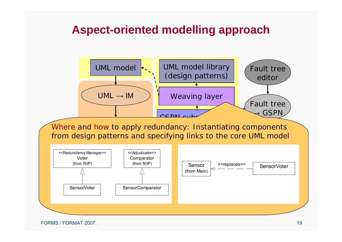#### **Aspect-oriented modelling approach**



FORMS / FORMAT 2007.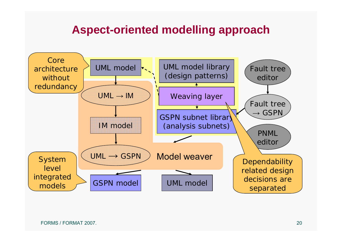#### **Aspect-oriented modelling approach**